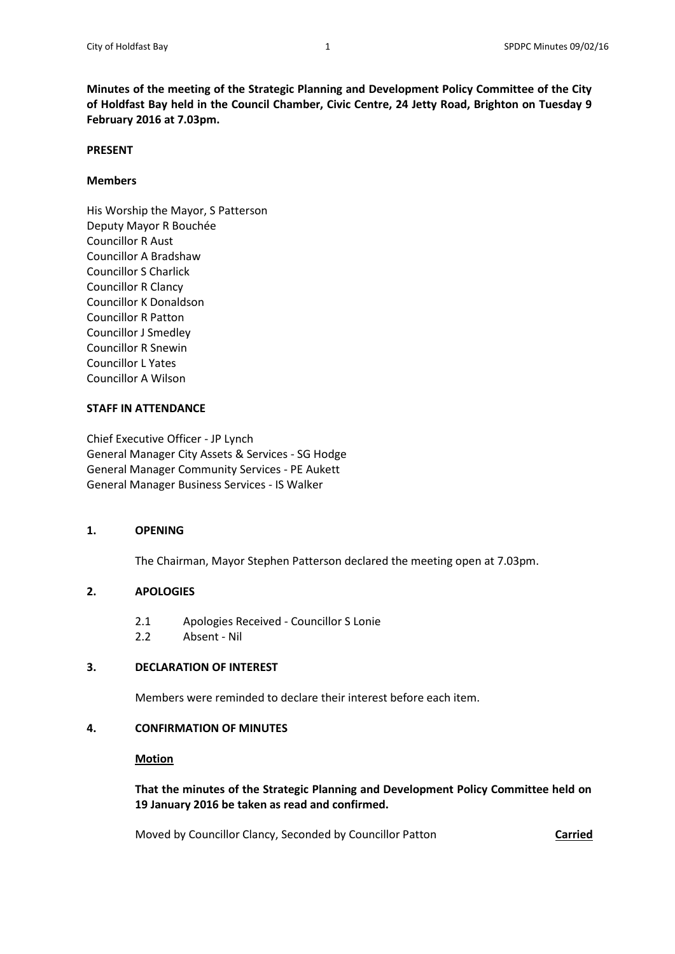**Minutes of the meeting of the Strategic Planning and Development Policy Committee of the City of Holdfast Bay held in the Council Chamber, Civic Centre, 24 Jetty Road, Brighton on Tuesday 9 February 2016 at 7.03pm.**

#### **PRESENT**

## **Members**

His Worship the Mayor, S Patterson Deputy Mayor R Bouchée Councillor R Aust Councillor A Bradshaw Councillor S Charlick Councillor R Clancy Councillor K Donaldson Councillor R Patton Councillor J Smedley Councillor R Snewin Councillor L Yates Councillor A Wilson

### **STAFF IN ATTENDANCE**

Chief Executive Officer - JP Lynch General Manager City Assets & Services - SG Hodge General Manager Community Services - PE Aukett General Manager Business Services - IS Walker

#### **1. OPENING**

The Chairman, Mayor Stephen Patterson declared the meeting open at 7.03pm.

## **2. APOLOGIES**

- 2.1 Apologies Received Councillor S Lonie
- 2.2 Absent Nil

# **3. DECLARATION OF INTEREST**

Members were reminded to declare their interest before each item.

## **4. CONFIRMATION OF MINUTES**

#### **Motion**

**That the minutes of the Strategic Planning and Development Policy Committee held on 19 January 2016 be taken as read and confirmed.**

Moved by Councillor Clancy, Seconded by Councillor Patton **Carried**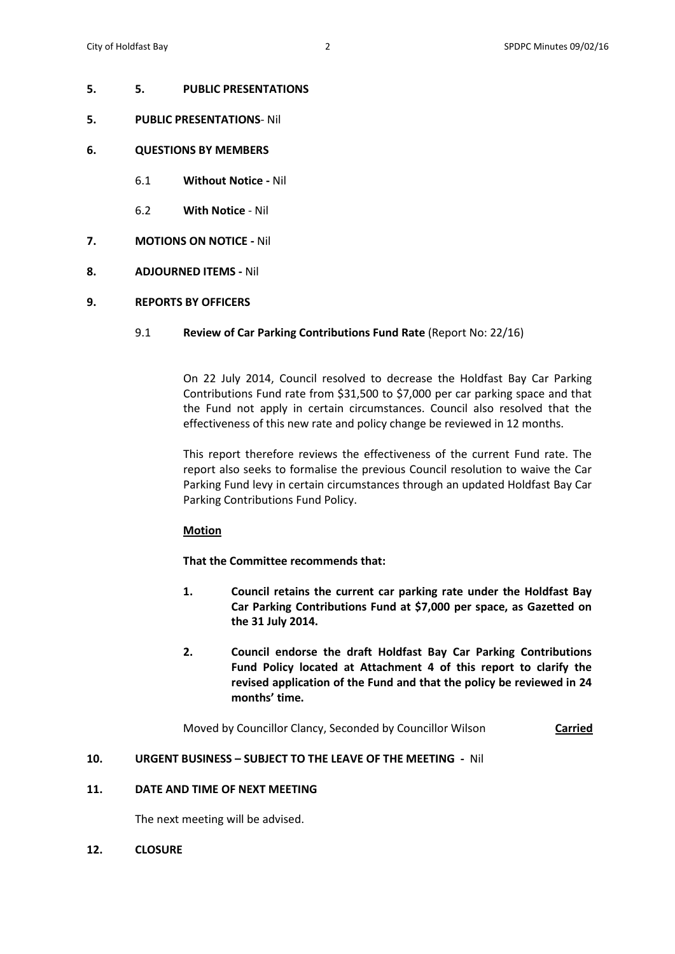#### **5. 5. PUBLIC PRESENTATIONS**

- **5. PUBLIC PRESENTATIONS** Nil
- **6. QUESTIONS BY MEMBERS**
	- 6.1 **Without Notice -** Nil
	- 6.2 **With Notice** Nil
- **7. MOTIONS ON NOTICE -** Nil
- **8. ADJOURNED ITEMS -** Nil
- **9. REPORTS BY OFFICERS**

### 9.1 **Review of Car Parking Contributions Fund Rate** (Report No: 22/16)

On 22 July 2014, Council resolved to decrease the Holdfast Bay Car Parking Contributions Fund rate from \$31,500 to \$7,000 per car parking space and that the Fund not apply in certain circumstances. Council also resolved that the effectiveness of this new rate and policy change be reviewed in 12 months.

This report therefore reviews the effectiveness of the current Fund rate. The report also seeks to formalise the previous Council resolution to waive the Car Parking Fund levy in certain circumstances through an updated Holdfast Bay Car Parking Contributions Fund Policy.

## **Motion**

**That the Committee recommends that:**

- **1. Council retains the current car parking rate under the Holdfast Bay Car Parking Contributions Fund at \$7,000 per space, as Gazetted on the 31 July 2014.**
- **2. Council endorse the draft Holdfast Bay Car Parking Contributions Fund Policy located at Attachment 4 of this report to clarify the revised application of the Fund and that the policy be reviewed in 24 months' time.**

Moved by Councillor Clancy, Seconded by Councillor Wilson **Carried**

#### **10. URGENT BUSINESS – SUBJECT TO THE LEAVE OF THE MEETING -** Nil

## **11. DATE AND TIME OF NEXT MEETING**

The next meeting will be advised.

**12. CLOSURE**